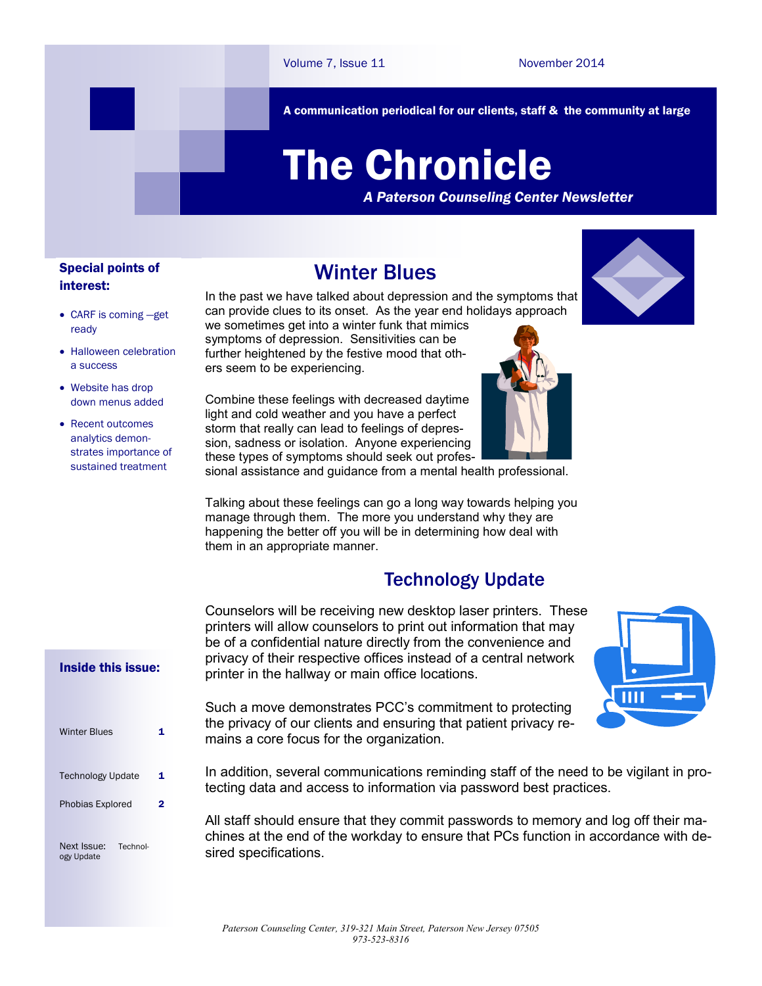A communication periodical for our clients, staff & the community at large

# The Chronicle

*A Paterson Counseling Center Newsletter*

## Special points of interest:

CARF is coming —get

Halloween celebration

ready

a success

 Website has drop down menus added • Recent outcomes analytics demonstrates importance of sustained treatment

Winter Blues

In the past we have talked about depression and the symptoms that can provide clues to its onset. As the year end holidays approach we sometimes get into a winter funk that mimics

symptoms of depression. Sensitivities can be further heightened by the festive mood that others seem to be experiencing.

Combine these feelings with decreased daytime light and cold weather and you have a perfect storm that really can lead to feelings of depression, sadness or isolation. Anyone experiencing these types of symptoms should seek out professional assistance and guidance from a mental health professional.

them in an appropriate manner.

printer in the hallway or main office locations.







Such a move demonstrates PCC's commitment to protecting the privacy of our clients and ensuring that patient privacy remains a core focus for the organization.

In addition, several communications reminding staff of the need to be vigilant in protecting data and access to information via password best practices.

All staff should ensure that they commit passwords to memory and log off their machines at the end of the workday to ensure that PCs function in accordance with desired specifications.

## Inside this issue:

| <b>Winter Blues</b>       |          |  |
|---------------------------|----------|--|
| <b>Technology Update</b>  |          |  |
| Phobias Explored          |          |  |
| Next Issue:<br>ogy Update | Technol- |  |